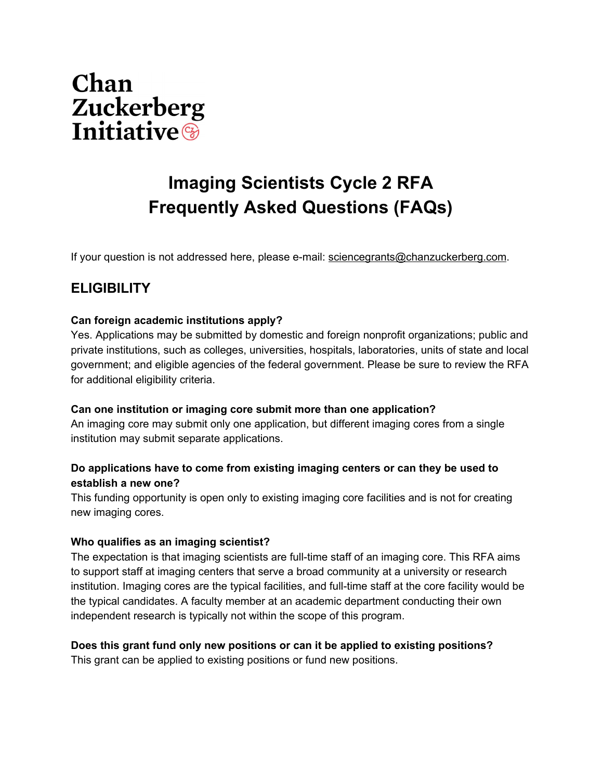

# **Imaging Scientists Cycle 2 RFA Frequently Asked Questions (FAQs)**

If your question is not addressed here, please e-mail: [sciencegrants@chanzuckerberg.com](mailto:science@chanzuckerberg.com).

## **ELIGIBILITY**

#### **Can foreign academic institutions apply?**

Yes. Applications may be submitted by domestic and foreign nonprofit organizations; public and private institutions, such as colleges, universities, hospitals, laboratories, units of state and local government; and eligible agencies of the federal government. Please be sure to review the RFA for additional eligibility criteria.

#### **Can one institution or imaging core submit more than one application?**

An imaging core may submit only one application, but different imaging cores from a single institution may submit separate applications.

#### **Do applications have to come from existing imaging centers or can they be used to establish a new one?**

This funding opportunity is open only to existing imaging core facilities and is not for creating new imaging cores.

#### **Who qualifies as an imaging scientist?**

The expectation is that imaging scientists are full-time staff of an imaging core. This RFA aims to support staff at imaging centers that serve a broad community at a university or research institution. Imaging cores are the typical facilities, and full-time staff at the core facility would be the typical candidates. A faculty member at an academic department conducting their own independent research is typically not within the scope of this program.

#### **Does this grant fund only new positions or can it be applied to existing positions?**

This grant can be applied to existing positions or fund new positions.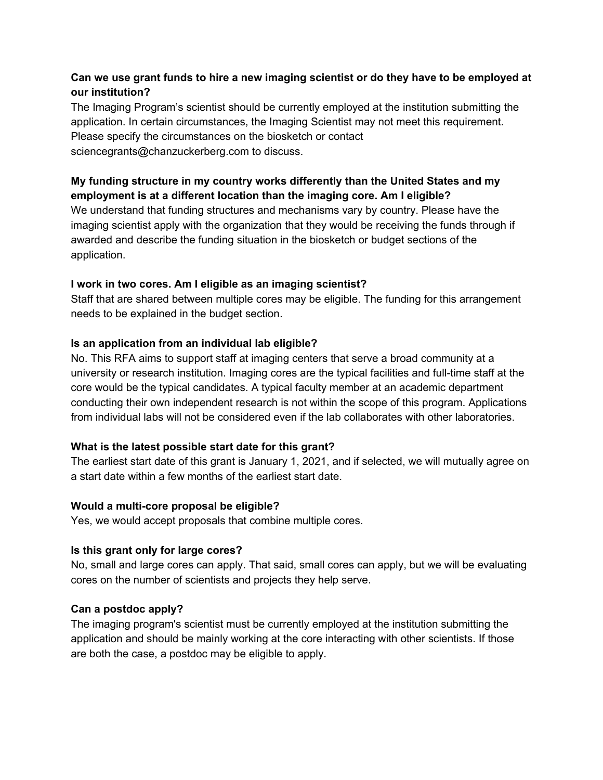#### **Can we use grant funds to hire a new imaging scientist or do they have to be employed at our institution?**

The Imaging Program's scientist should be currently employed at the institution submitting the application. In certain circumstances, the Imaging Scientist may not meet this requirement. Please specify the circumstances on the biosketch or contact sciencegrants@chanzuckerberg.com to discuss.

#### **My funding structure in my country works differently than the United States and my employment is at a different location than the imaging core. Am I eligible?**

We understand that funding structures and mechanisms vary by country. Please have the imaging scientist apply with the organization that they would be receiving the funds through if awarded and describe the funding situation in the biosketch or budget sections of the application.

#### **I work in two cores. Am I eligible as an imaging scientist?**

Staff that are shared between multiple cores may be eligible. The funding for this arrangement needs to be explained in the budget section.

#### **Is an application from an individual lab eligible?**

No. This RFA aims to support staff at imaging centers that serve a broad community at a university or research institution. Imaging cores are the typical facilities and full-time staff at the core would be the typical candidates. A typical faculty member at an academic department conducting their own independent research is not within the scope of this program. Applications from individual labs will not be considered even if the lab collaborates with other laboratories.

#### **What is the latest possible start date for this grant?**

The earliest start date of this grant is January 1, 2021, and if selected, we will mutually agree on a start date within a few months of the earliest start date.

#### **Would a multi-core proposal be eligible?**

Yes, we would accept proposals that combine multiple cores.

#### **Is this grant only for large cores?**

No, small and large cores can apply. That said, small cores can apply, but we will be evaluating cores on the number of scientists and projects they help serve.

#### **Can a postdoc apply?**

The imaging program's scientist must be currently employed at the institution submitting the application and should be mainly working at the core interacting with other scientists. If those are both the case, a postdoc may be eligible to apply.